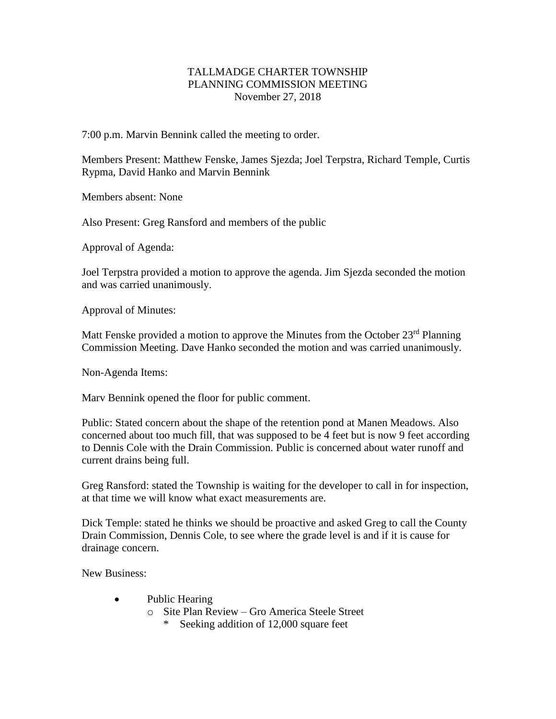## TALLMADGE CHARTER TOWNSHIP PLANNING COMMISSION MEETING November 27, 2018

7:00 p.m. Marvin Bennink called the meeting to order.

Members Present: Matthew Fenske, James Sjezda; Joel Terpstra, Richard Temple, Curtis Rypma, David Hanko and Marvin Bennink

Members absent: None

Also Present: Greg Ransford and members of the public

Approval of Agenda:

Joel Terpstra provided a motion to approve the agenda. Jim Sjezda seconded the motion and was carried unanimously.

Approval of Minutes:

Matt Fenske provided a motion to approve the Minutes from the October  $23<sup>rd</sup>$  Planning Commission Meeting. Dave Hanko seconded the motion and was carried unanimously.

Non-Agenda Items:

Marv Bennink opened the floor for public comment.

Public: Stated concern about the shape of the retention pond at Manen Meadows. Also concerned about too much fill, that was supposed to be 4 feet but is now 9 feet according to Dennis Cole with the Drain Commission. Public is concerned about water runoff and current drains being full.

Greg Ransford: stated the Township is waiting for the developer to call in for inspection, at that time we will know what exact measurements are.

Dick Temple: stated he thinks we should be proactive and asked Greg to call the County Drain Commission, Dennis Cole, to see where the grade level is and if it is cause for drainage concern.

New Business:

- Public Hearing
	- o Site Plan Review Gro America Steele Street
		- \* Seeking addition of 12,000 square feet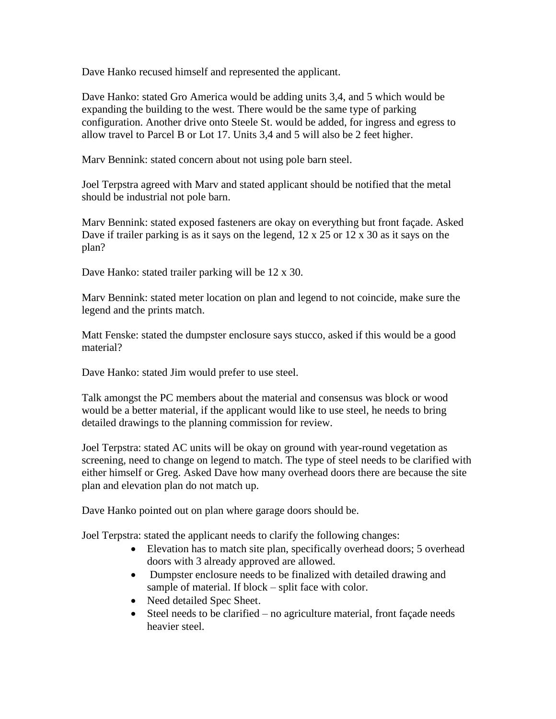Dave Hanko recused himself and represented the applicant.

Dave Hanko: stated Gro America would be adding units 3,4, and 5 which would be expanding the building to the west. There would be the same type of parking configuration. Another drive onto Steele St. would be added, for ingress and egress to allow travel to Parcel B or Lot 17. Units 3,4 and 5 will also be 2 feet higher.

Marv Bennink: stated concern about not using pole barn steel.

Joel Terpstra agreed with Marv and stated applicant should be notified that the metal should be industrial not pole barn.

Marv Bennink: stated exposed fasteners are okay on everything but front façade. Asked Dave if trailer parking is as it says on the legend,  $12 \times 25$  or  $12 \times 30$  as it says on the plan?

Dave Hanko: stated trailer parking will be 12 x 30.

Marv Bennink: stated meter location on plan and legend to not coincide, make sure the legend and the prints match.

Matt Fenske: stated the dumpster enclosure says stucco, asked if this would be a good material?

Dave Hanko: stated Jim would prefer to use steel.

Talk amongst the PC members about the material and consensus was block or wood would be a better material, if the applicant would like to use steel, he needs to bring detailed drawings to the planning commission for review.

Joel Terpstra: stated AC units will be okay on ground with year-round vegetation as screening, need to change on legend to match. The type of steel needs to be clarified with either himself or Greg. Asked Dave how many overhead doors there are because the site plan and elevation plan do not match up.

Dave Hanko pointed out on plan where garage doors should be.

Joel Terpstra: stated the applicant needs to clarify the following changes:

- Elevation has to match site plan, specifically overhead doors; 5 overhead doors with 3 already approved are allowed.
- Dumpster enclosure needs to be finalized with detailed drawing and sample of material. If block – split face with color.
- Need detailed Spec Sheet.
- Steel needs to be clarified no agriculture material, front façade needs heavier steel.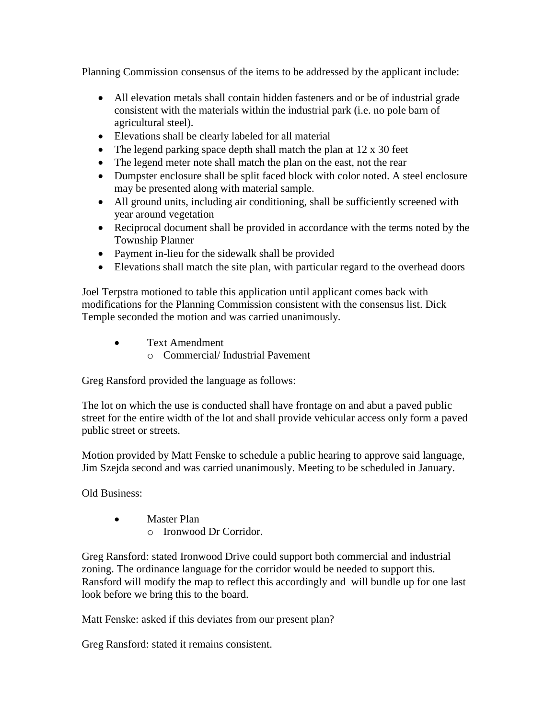Planning Commission consensus of the items to be addressed by the applicant include:

- All elevation metals shall contain hidden fasteners and or be of industrial grade consistent with the materials within the industrial park (i.e. no pole barn of agricultural steel).
- Elevations shall be clearly labeled for all material
- The legend parking space depth shall match the plan at 12 x 30 feet
- The legend meter note shall match the plan on the east, not the rear
- Dumpster enclosure shall be split faced block with color noted. A steel enclosure may be presented along with material sample.
- All ground units, including air conditioning, shall be sufficiently screened with year around vegetation
- Reciprocal document shall be provided in accordance with the terms noted by the Township Planner
- Payment in-lieu for the sidewalk shall be provided
- Elevations shall match the site plan, with particular regard to the overhead doors

Joel Terpstra motioned to table this application until applicant comes back with modifications for the Planning Commission consistent with the consensus list. Dick Temple seconded the motion and was carried unanimously.

- Text Amendment
	- o Commercial/ Industrial Pavement

Greg Ransford provided the language as follows:

The lot on which the use is conducted shall have frontage on and abut a paved public street for the entire width of the lot and shall provide vehicular access only form a paved public street or streets.

Motion provided by Matt Fenske to schedule a public hearing to approve said language, Jim Szejda second and was carried unanimously. Meeting to be scheduled in January.

Old Business:

- Master Plan
	- o Ironwood Dr Corridor.

Greg Ransford: stated Ironwood Drive could support both commercial and industrial zoning. The ordinance language for the corridor would be needed to support this. Ransford will modify the map to reflect this accordingly and will bundle up for one last look before we bring this to the board.

Matt Fenske: asked if this deviates from our present plan?

Greg Ransford: stated it remains consistent.